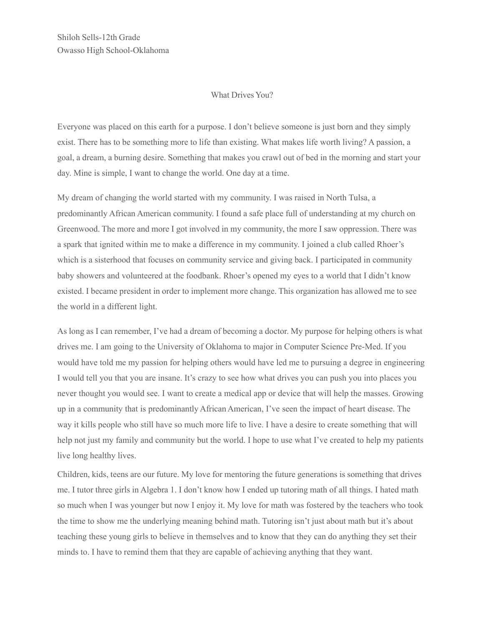Shiloh Sells-12th Grade Owasso High School-Oklahoma

## What Drives You?

Everyone was placed on this earth for a purpose. I don't believe someone is just born and they simply exist. There has to be something more to life than existing. What makes life worth living? A passion, a goal, a dream, a burning desire. Something that makes you crawl out of bed in the morning and start your day. Mine is simple, I want to change the world. One day at a time.

My dream of changing the world started with my community. I was raised in North Tulsa, a predominantly African American community. I found a safe place full of understanding at my church on Greenwood. The more and more I got involved in my community, the more I saw oppression. There was a spark that ignited within me to make a difference in my community. I joined a club called Rhoer's which is a sisterhood that focuses on community service and giving back. I participated in community baby showers and volunteered at the foodbank. Rhoer's opened my eyes to a world that I didn't know existed. I became president in order to implement more change. This organization has allowed me to see the world in a different light.

As long as I can remember, I've had a dream of becoming a doctor. My purpose for helping others is what drives me. I am going to the University of Oklahoma to major in Computer Science Pre-Med. If you would have told me my passion for helping others would have led me to pursuing a degree in engineering I would tell you that you are insane. It's crazy to see how what drives you can push you into places you never thought you would see. I want to create a medical app or device that will help the masses. Growing up in a community that is predominantly African American, I've seen the impact of heart disease. The way it kills people who still have so much more life to live. I have a desire to create something that will help not just my family and community but the world. I hope to use what I've created to help my patients live long healthy lives.

Children, kids, teens are our future. My love for mentoring the future generations is something that drives me. I tutor three girls in Algebra 1. I don't know how I ended up tutoring math of all things. I hated math so much when I was younger but now I enjoy it. My love for math was fostered by the teachers who took the time to show me the underlying meaning behind math. Tutoring isn't just about math but it's about teaching these young girls to believe in themselves and to know that they can do anything they set their minds to. I have to remind them that they are capable of achieving anything that they want.